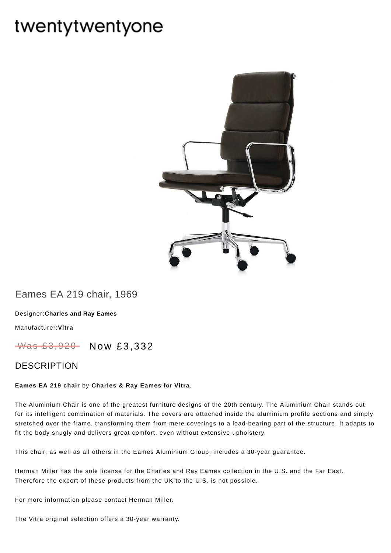# twentytwentyone



## Eames EA 219 chair, 1969

[Designer:](https://www.twentytwentyone.com/collections/designers-charles-and-ray-eames)**Charles and Ray Eames**

[Manufacturer:](https://www.twentytwentyone.com/collections/manufacturers-vitra)**Vitra**

Was £3,920 Now £3,332

### DESCRIPTION

#### **Eames EA 219 chair** by **[Charles](http://twentytwentyone.com/designer/charles-ray-eames) & Ray Eames** for **[Vitra](http://twentytwentyone.com/manufacturer/vitra)**.

The Aluminium Chair is one of the greatest furniture designs of the 20th century. The Aluminium Chair stands out for its intelligent combination of materials. The covers are attached inside the aluminium profile sections and simply stretched over the frame, transforming them from mere coverings to a load-bearing part of the structure. It adapts to fit the body snugly and delivers great comfort, even without extensive upholstery.

This chair, as well as all others in the Eames Aluminium Group, includes a 30-year guarantee.

Herman Miller has the sole license for the Charles and Ray Eames collection in the U.S. and the Far East. Therefore the export of these products from the UK to the U.S. is not possible.

For more information please contact Herman Miller.

The Vitra original selection offers a 30-year warranty.